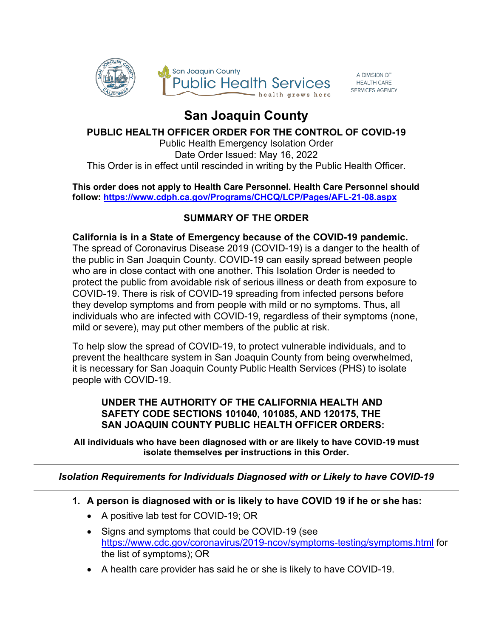

A DIVISION OF<br>HEALTH CARE SERVICES AGENCY

# **San Joaquin County**

## **PUBLIC HEALTH OFFICER ORDER FOR THE CONTROL OF COVID-19**

Public Health Emergency Isolation Order Date Order Issued: May 16, 2022 This Order is in effect until rescinded in writing by the Public Health Officer.

#### **This order does not apply to Health Care Personnel. Health Care Personnel should follow:<https://www.cdph.ca.gov/Programs/CHCQ/LCP/Pages/AFL-21-08.aspx>**

## **SUMMARY OF THE ORDER**

**California is in a State of Emergency because of the COVID-19 pandemic.**  The spread of Coronavirus Disease 2019 (COVID-19) is a danger to the health of the public in San Joaquin County. COVID-19 can easily spread between people who are in close contact with one another. This Isolation Order is needed to protect the public from avoidable risk of serious illness or death from exposure to COVID-19. There is risk of COVID-19 spreading from infected persons before they develop symptoms and from people with mild or no symptoms. Thus, all individuals who are infected with COVID-19, regardless of their symptoms (none, mild or severe), may put other members of the public at risk.

To help slow the spread of COVID-19, to protect vulnerable individuals, and to prevent the healthcare system in San Joaquin County from being overwhelmed, it is necessary for San Joaquin County Public Health Services (PHS) to isolate people with COVID-19.

### **UNDER THE AUTHORITY OF THE CALIFORNIA HEALTH AND SAFETY CODE SECTIONS 101040, 101085, AND 120175, THE SAN JOAQUIN COUNTY PUBLIC HEALTH OFFICER ORDERS:**

**All individuals who have been diagnosed with or are likely to have COVID-19 must isolate themselves per instructions in this Order.**

*Isolation Requirements for Individuals Diagnosed with or Likely to have COVID-19*

- **1. A person is diagnosed with or is likely to have COVID 19 if he or she has:**
	- A positive lab test for COVID-19; OR
	- Signs and symptoms that could be COVID-19 (see <https://www.cdc.gov/coronavirus/2019-ncov/symptoms-testing/symptoms.html> for the list of symptoms); OR
	- A health care provider has said he or she is likely to have COVID-19.